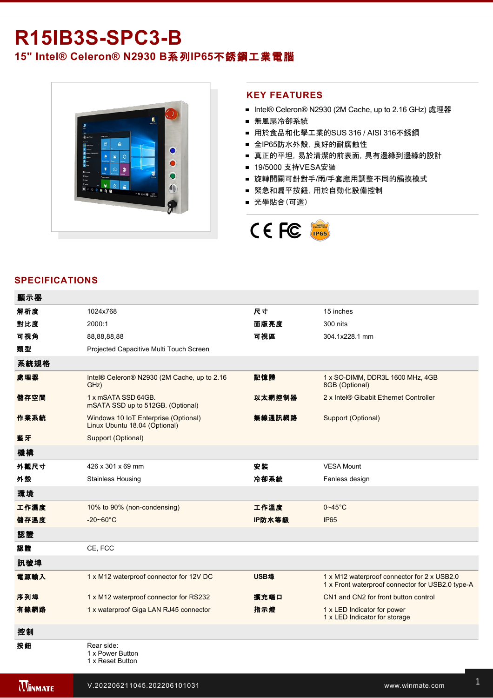# **R15IB3S-SPC3-B**

## **15" Intel® Celeron® N2930 B**系列**IP65**不銹鋼工業電腦



#### **KEY FEATURES**

- Intel® Celeron® N2930 (2M Cache, up to 2.16 GHz) 處理器
- 無風扇冷卻系統
- 用於食品和化學工業的SUS 316 / AISI 316不銹鋼
- 全IP65防水外殼, 良好的耐腐蝕性
- 真正的平坦,易於清潔的前表面,具有邊緣到邊緣的設計
- 19/5000 支持VESA安裝
- 旋轉開關可針對手/雨/手套應用調整不同的觸摸模式
- 緊急和扁平按鈕,用於自動化設備控制
- 光學貼合(可選)



#### **SPECIFICATIONS**

| 顯示器  |                                                                       |        |                                                                                                 |
|------|-----------------------------------------------------------------------|--------|-------------------------------------------------------------------------------------------------|
| 解析度  | 1024x768                                                              | 尺寸     | 15 inches                                                                                       |
| 對比度  | 2000:1                                                                | 面版亮度   | 300 nits                                                                                        |
| 可視角  | 88,88,88,88                                                           | 可視區    | 304.1x228.1 mm                                                                                  |
| 類型   | Projected Capacitive Multi Touch Screen                               |        |                                                                                                 |
| 系統規格 |                                                                       |        |                                                                                                 |
| 處理器  | Intel® Celeron® N2930 (2M Cache, up to 2.16<br>GHz)                   | 記憶體    | 1 x SO-DIMM, DDR3L 1600 MHz, 4GB<br>8GB (Optional)                                              |
| 儲存空間 | 1 x mSATA SSD 64GB.<br>mSATA SSD up to 512GB. (Optional)              | 以太網控制器 | 2 x Intel® Gibabit Ethernet Controller                                                          |
| 作業系統 | Windows 10 IoT Enterprise (Optional)<br>Linux Ubuntu 18.04 (Optional) | 無線通訊網路 | Support (Optional)                                                                              |
| 藍牙   | Support (Optional)                                                    |        |                                                                                                 |
| 機構   |                                                                       |        |                                                                                                 |
| 外觀尺寸 | 426 x 301 x 69 mm                                                     | 安装     | <b>VESA Mount</b>                                                                               |
| 外殼   | <b>Stainless Housing</b>                                              | 冷卻系統   | Fanless design                                                                                  |
| 環境   |                                                                       |        |                                                                                                 |
| 工作濕度 | 10% to 90% (non-condensing)                                           | 工作溫度   | $0 - 45$ °C                                                                                     |
| 儲存溫度 | $-20 - 60^{\circ}$ C                                                  | IP防水等級 | <b>IP65</b>                                                                                     |
| 認證   |                                                                       |        |                                                                                                 |
| 認證   | CE, FCC                                                               |        |                                                                                                 |
| 訊號埠  |                                                                       |        |                                                                                                 |
| 電源輸入 | 1 x M12 waterproof connector for 12V DC                               | USB埠   | 1 x M12 waterproof connector for 2 x USB2.0<br>1 x Front waterproof connector for USB2.0 type-A |
| 序列埠  | 1 x M12 waterproof connector for RS232                                | 擴充端口   | CN1 and CN2 for front button control                                                            |
| 有線網路 | 1 x waterproof Giga LAN RJ45 connector                                | 指示燈    | 1 x LED Indicator for power<br>1 x LED Indicator for storage                                    |
| 控制   |                                                                       |        |                                                                                                 |
| 按鈕   | Rear side:<br>1 x Power Button<br>1 x Reset Button                    |        |                                                                                                 |